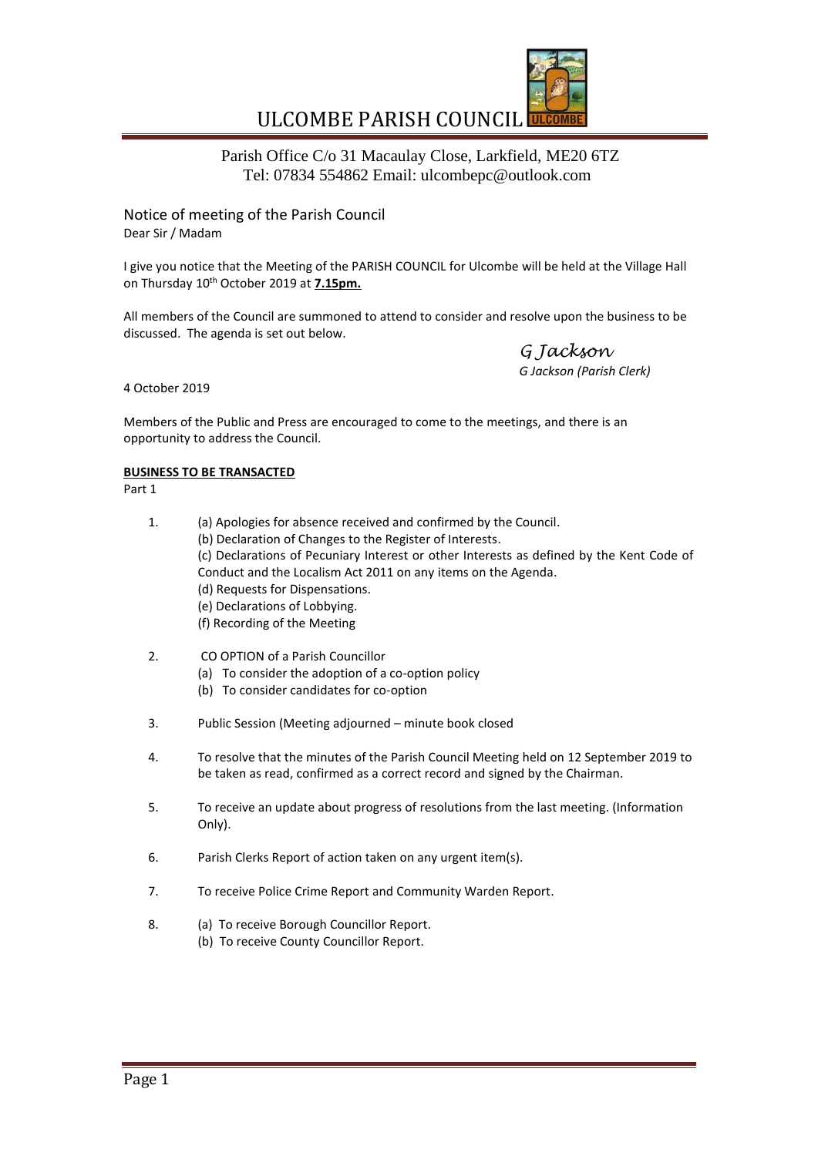

# ULCOMBE PARISH COUNCIL

Parish Office C/o 31 Macaulay Close, Larkfield, ME20 6TZ Tel: 07834 554862 Email: ulcombepc@outlook.com

Notice of meeting of the Parish Council Dear Sir / Madam

I give you notice that the Meeting of the PARISH COUNCIL for Ulcombe will be held at the Village Hall on Thursday 10<sup>th</sup> October 2019 at **7.15pm.** 

All members of the Council are summoned to attend to consider and resolve upon the business to be discussed. The agenda is set out below.

*G Jackson G Jackson (Parish Clerk)*

4 October 2019

Members of the Public and Press are encouraged to come to the meetings, and there is an opportunity to address the Council.

# **BUSINESS TO BE TRANSACTED**

Part 1

- 1. (a) Apologies for absence received and confirmed by the Council. (b) Declaration of Changes to the Register of Interests. (c) Declarations of Pecuniary Interest or other Interests as defined by the Kent Code of Conduct and the Localism Act 2011 on any items on the Agenda. (d) Requests for Dispensations. (e) Declarations of Lobbying. (f) Recording of the Meeting
- 2. CO OPTION of a Parish Councillor
	- (a) To consider the adoption of a co-option policy
	- (b) To consider candidates for co-option
- 3. Public Session (Meeting adjourned minute book closed
- 4. To resolve that the minutes of the Parish Council Meeting held on 12 September 2019 to be taken as read, confirmed as a correct record and signed by the Chairman.
- 5. To receive an update about progress of resolutions from the last meeting. (Information Only).
- 6. Parish Clerks Report of action taken on any urgent item(s).
- 7. To receive Police Crime Report and Community Warden Report.
- 8. (a) To receive Borough Councillor Report.
	- (b) To receive County Councillor Report.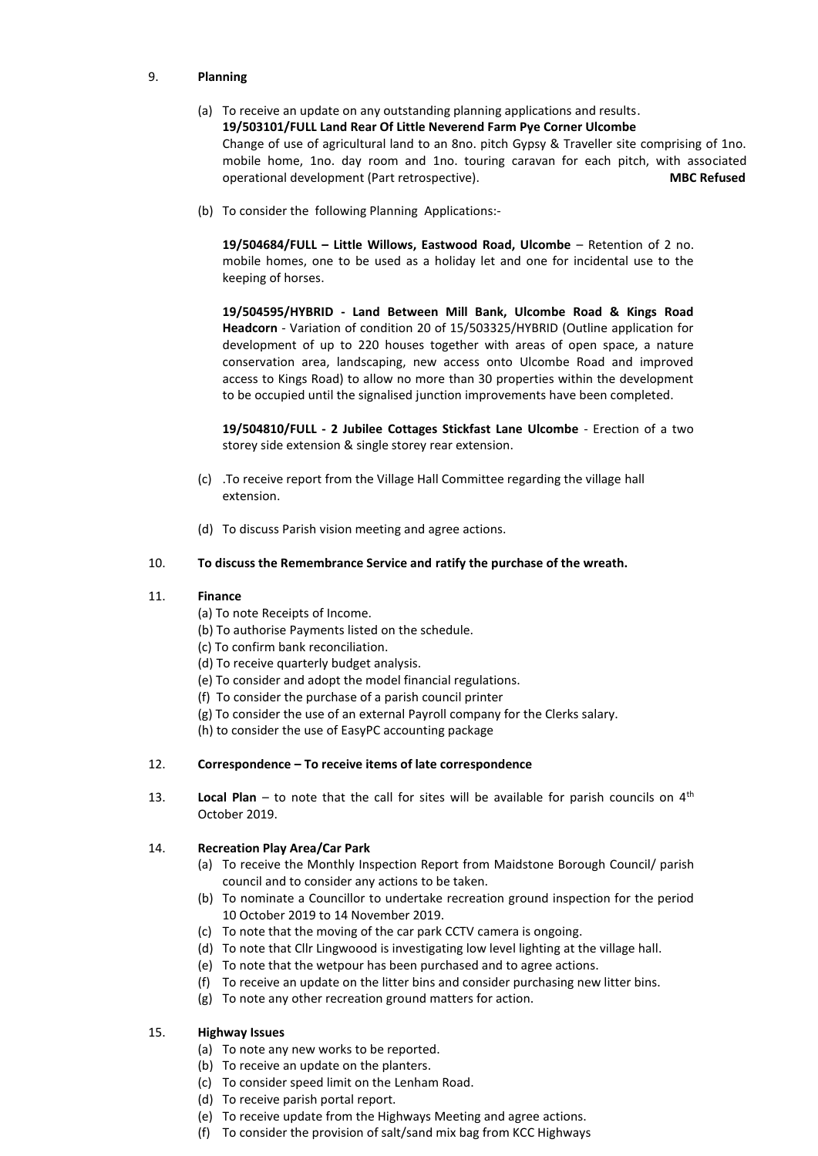### 9. **Planning**

# (a) To receive an update on any outstanding planning applications and results. **19/503101/FULL Land Rear Of Little Neverend Farm Pye Corner Ulcombe**  Change of use of agricultural land to an 8no. pitch Gypsy & Traveller site comprising of 1no. mobile home, 1no. day room and 1no. touring caravan for each pitch, with associated operational development (Part retrospective). **MBC Refused**

(b) To consider the following Planning Applications:-

**19/504684/FULL – Little Willows, Eastwood Road, Ulcombe** – Retention of 2 no. mobile homes, one to be used as a holiday let and one for incidental use to the keeping of horses.

**19/504595/HYBRID - Land Between Mill Bank, Ulcombe Road & Kings Road Headcorn** - Variation of condition 20 of 15/503325/HYBRID (Outline application for development of up to 220 houses together with areas of open space, a nature conservation area, landscaping, new access onto Ulcombe Road and improved access to Kings Road) to allow no more than 30 properties within the development to be occupied until the signalised junction improvements have been completed.

**19/504810/FULL - 2 Jubilee Cottages Stickfast Lane Ulcombe** - Erection of a two storey side extension & single storey rear extension.

- (c) .To receive report from the Village Hall Committee regarding the village hall extension.
- (d) To discuss Parish vision meeting and agree actions.

### 10. **To discuss the Remembrance Service and ratify the purchase of the wreath.**

#### 11. **Finance**

- (a) To note Receipts of Income.
- (b) To authorise Payments listed on the schedule.
- (c) To confirm bank reconciliation.
- (d) To receive quarterly budget analysis.
- (e) To consider and adopt the model financial regulations.
- (f) To consider the purchase of a parish council printer
- (g) To consider the use of an external Payroll company for the Clerks salary.

(h) to consider the use of EasyPC accounting package

#### 12. **Correspondence – To receive items of late correspondence**

13. **Local Plan** – to note that the call for sites will be available for parish councils on  $4<sup>th</sup>$ October 2019.

#### 14. **Recreation Play Area/Car Park**

- (a) To receive the Monthly Inspection Report from Maidstone Borough Council/ parish council and to consider any actions to be taken.
- (b) To nominate a Councillor to undertake recreation ground inspection for the period 10 October 2019 to 14 November 2019.
- (c) To note that the moving of the car park CCTV camera is ongoing.
- (d) To note that Cllr Lingwoood is investigating low level lighting at the village hall.
- (e) To note that the wetpour has been purchased and to agree actions.
- (f) To receive an update on the litter bins and consider purchasing new litter bins.
- (g) To note any other recreation ground matters for action.

## 15. **Highway Issues**

- (a) To note any new works to be reported.
- (b) To receive an update on the planters.
- (c) To consider speed limit on the Lenham Road.
- (d) To receive parish portal report.
- (e) To receive update from the Highways Meeting and agree actions.
- (f) To consider the provision of salt/sand mix bag from KCC Highways